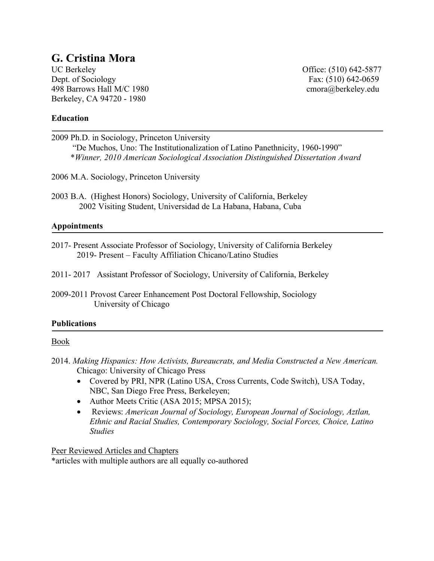# **G. Cristina Mora**

UC Berkeley **Office:** (510) 642-5877 Dept. of Sociology Fax: (510) 642-0659 498 Barrows Hall M/C 1980 cmora@berkeley.edu Berkeley, CA 94720 - 1980

## **Education**

2009 Ph.D. in Sociology, Princeton University "De Muchos, Uno: The Institutionalization of Latino Panethnicity, 1960-1990" \**Winner, 2010 American Sociological Association Distinguished Dissertation Award* 

2006 M.A. Sociology, Princeton University

2003 B.A. (Highest Honors) Sociology, University of California, Berkeley 2002 Visiting Student, Universidad de La Habana, Habana, Cuba

## **Appointments**

2017- Present Associate Professor of Sociology, University of California Berkeley 2019- Present – Faculty Affiliation Chicano/Latino Studies

2011- 2017 Assistant Professor of Sociology, University of California, Berkeley

2009-2011 Provost Career Enhancement Post Doctoral Fellowship, Sociology University of Chicago

#### **Publications**

#### Book

- 2014. *Making Hispanics: How Activists, Bureaucrats, and Media Constructed a New American.*  Chicago: University of Chicago Press
	- Covered by PRI, NPR (Latino USA, Cross Currents, Code Switch), USA Today, NBC, San Diego Free Press, Berkeleyen;
	- Author Meets Critic (ASA 2015; MPSA 2015);
	- Reviews: *American Journal of Sociology, European Journal of Sociology, Aztlan, Ethnic and Racial Studies, Contemporary Sociology, Social Forces, Choice, Latino Studies*

Peer Reviewed Articles and Chapters \*articles with multiple authors are all equally co-authored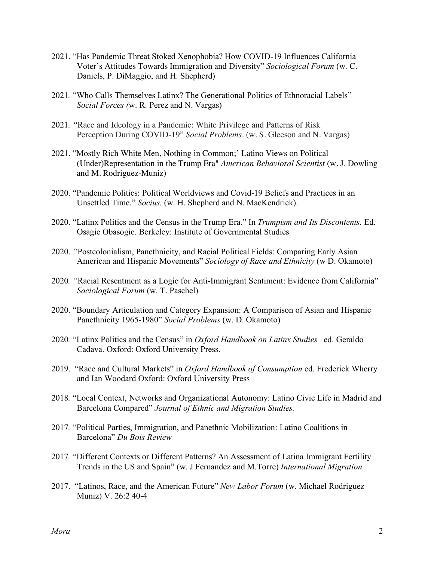- 2021. "Has Pandemic Threat Stoked Xenophobia? How COVID-19 Influences California Voter's Attitudes Towards Immigration and Diversity" *Sociological Forum* (w. C. Daniels, P. DiMaggio, and H. Shepherd)
- 2021*.* "Who Calls Themselves Latinx? The Generational Politics of Ethnoracial Labels" *Social Forces (*w. R. Perez and N. Vargas)
- 2021*. "*Race and Ideology in a Pandemic: White Privilege and Patterns of Risk Perception During COVID-19" *Social Problems*. (w. S. Gleeson and N. Vargas)
- 2021. "Mostly Rich White Men, Nothing in Common;' Latino Views on Political (Under)Representation in the Trump Era" *American Behavioral Scientist* (w. J. Dowling and M. Rodriguez-Muniz)
- 2020. "Pandemic Politics: Political Worldviews and Covid-19 Beliefs and Practices in an Unsettled Time." *Socius.* (w. H. Shepherd and N. MacKendrick).
- 2020. "Latinx Politics and the Census in the Trump Era." In *Trumpism and Its Discontents.* Ed. Osagie Obasogie. Berkeley: Institute of Governmental Studies
- 2020. *"*Postcolonialism, Panethnicity, and Racial Political Fields: Comparing Early Asian American and Hispanic Movements" *Sociology of Race and Ethnicity* (w D. Okamoto)
- 2020*. "*Racial Resentment as a Logic for Anti-Immigrant Sentiment: Evidence from California" *Sociological Forum* (w. T. Paschel)
- 2020. "Boundary Articulation and Category Expansion: A Comparison of Asian and Hispanic Panethnicity 1965-1980" *Social Problems* (w. D. Okamoto)
- 2020*.* "Latinx Politics and the Census" in *Oxford Handbook on Latinx Studies* ed. Geraldo Cadava. Oxford: Oxford University Press.
- 2019. "Race and Cultural Markets" in *Oxford Handbook of Consumption* ed. Frederick Wherry and Ian Woodard Oxford: Oxford University Press
- 2018*.* "Local Context, Networks and Organizational Autonomy: Latino Civic Life in Madrid and Barcelona Compared" *Journal of Ethnic and Migration Studies.*
- 2017*.* "Political Parties, Immigration, and Panethnic Mobilization: Latino Coalitions in Barcelona" *Du Bois Review*
- 2017*.* "Different Contexts or Different Patterns? An Assessment of Latina Immigrant Fertility Trends in the US and Spain" (w. J Fernandez and M.Torre) *International Migration*
- 2017. "Latinos, Race, and the American Future" *New Labor Forum* (w. Michael Rodriguez Muniz) V. 26:2 40-4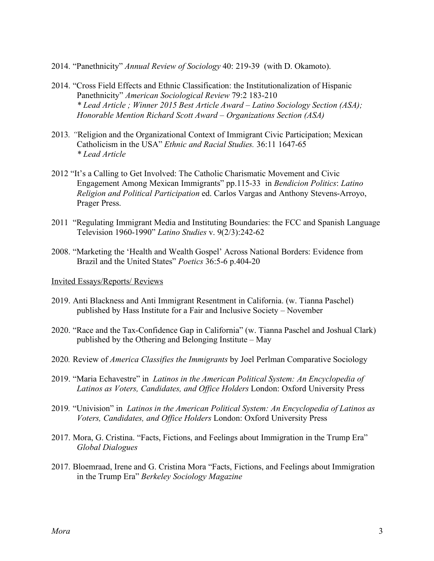- 2014. "Panethnicity" *Annual Review of Sociology* 40: 219-39 (with D. Okamoto).
- 2014. "Cross Field Effects and Ethnic Classification: the Institutionalization of Hispanic Panethnicity" *American Sociological Review* 79:2 183-210 *\* Lead Article ; Winner 2015 Best Article Award – Latino Sociology Section (ASA); Honorable Mention Richard Scott Award – Organizations Section (ASA)*
- 2013*. "*Religion and the Organizational Context of Immigrant Civic Participation; Mexican Catholicism in the USA" *Ethnic and Racial Studies.* 36:11 1647-65 *\* Lead Article*
- 2012 "It's a Calling to Get Involved: The Catholic Charismatic Movement and Civic Engagement Among Mexican Immigrants" pp.115-33 in *Bendicion Politics*: *Latino Religion and Political Participation* ed. Carlos Vargas and Anthony Stevens-Arroyo, Prager Press.
- 2011 "Regulating Immigrant Media and Instituting Boundaries: the FCC and Spanish Language Television 1960-1990" *Latino Studies* v. 9(2/3):242-62
- 2008. "Marketing the 'Health and Wealth Gospel' Across National Borders: Evidence from Brazil and the United States" *Poetics* 36:5-6 p.404-20

Invited Essays/Reports/ Reviews

- 2019. Anti Blackness and Anti Immigrant Resentment in California. (w. Tianna Paschel) published by Hass Institute for a Fair and Inclusive Society – November
- 2020. "Race and the Tax-Confidence Gap in California" (w. Tianna Paschel and Joshual Clark) published by the Othering and Belonging Institute – May
- 2020*.* Review of *America Classifies the Immigrants* by Joel Perlman Comparative Sociology
- 2019. "Maria Echavestre" in *Latinos in the American Political System: An Encyclopedia of Latinos as Voters, Candidates, and Office Holders* London: Oxford University Press
- 2019*.* "Univision" in *Latinos in the American Political System: An Encyclopedia of Latinos as Voters, Candidates, and Office Holders* London: Oxford University Press
- 2017. Mora, G. Cristina. "Facts, Fictions, and Feelings about Immigration in the Trump Era" *Global Dialogues*
- 2017. Bloemraad, Irene and G. Cristina Mora "Facts, Fictions, and Feelings about Immigration in the Trump Era" *Berkeley Sociology Magazine*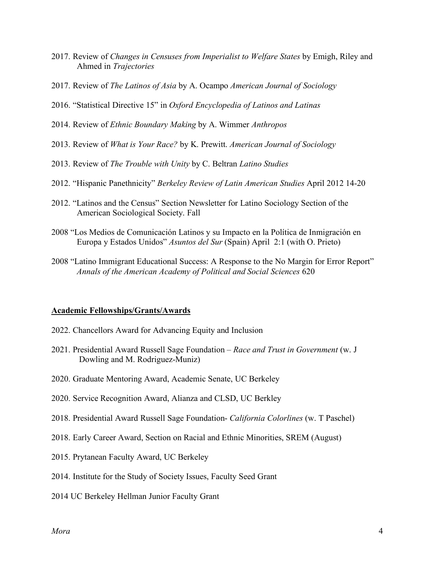- 2017. Review of *Changes in Censuses from Imperialist to Welfare States* by Emigh, Riley and Ahmed in *Trajectories*
- 2017. Review of *The Latinos of Asia* by A. Ocampo *American Journal of Sociology*
- 2016. "Statistical Directive 15" in *Oxford Encyclopedia of Latinos and Latinas*
- 2014. Review of *Ethnic Boundary Making* by A. Wimmer *Anthropos*
- 2013. Review of *What is Your Race?* by K. Prewitt. *American Journal of Sociology*
- 2013. Review of *The Trouble with Unity* by C. Beltran *Latino Studies*
- 2012. "Hispanic Panethnicity" *Berkeley Review of Latin American Studies* April 2012 14-20
- 2012. "Latinos and the Census" Section Newsletter for Latino Sociology Section of the American Sociological Society. Fall
- 2008 "Los Medios de Comunicación Latinos y su Impacto en la Política de Inmigración en Europa y Estados Unidos" *Asuntos del Sur* (Spain) April 2:1 (with O. Prieto)
- 2008 "Latino Immigrant Educational Success: A Response to the No Margin for Error Report" *Annals of the American Academy of Political and Social Sciences* 620

## **Academic Fellowships/Grants/Awards**

- 2022. Chancellors Award for Advancing Equity and Inclusion
- 2021. Presidential Award Russell Sage Foundation *Race and Trust in Government* (w. J Dowling and M. Rodriguez-Muniz)
- 2020. Graduate Mentoring Award, Academic Senate, UC Berkeley
- 2020. Service Recognition Award, Alianza and CLSD, UC Berkley
- 2018. Presidential Award Russell Sage Foundation- *California Colorlines* (w. T Paschel)
- 2018. Early Career Award, Section on Racial and Ethnic Minorities, SREM (August)
- 2015. Prytanean Faculty Award, UC Berkeley
- 2014. Institute for the Study of Society Issues, Faculty Seed Grant
- 2014 UC Berkeley Hellman Junior Faculty Grant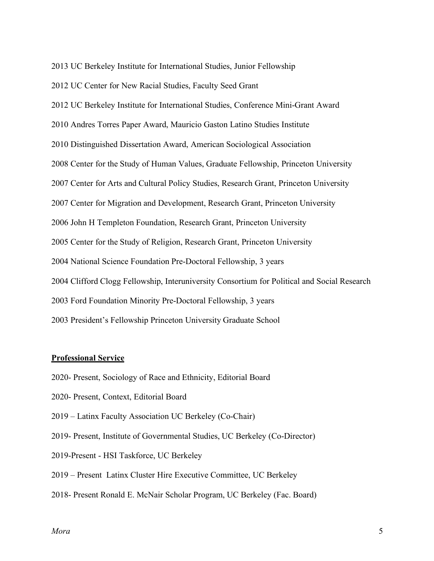2013 UC Berkeley Institute for International Studies, Junior Fellowship

2012 UC Center for New Racial Studies, Faculty Seed Grant

2012 UC Berkeley Institute for International Studies, Conference Mini-Grant Award

2010 Andres Torres Paper Award, Mauricio Gaston Latino Studies Institute

2010 Distinguished Dissertation Award, American Sociological Association

2008 Center for the Study of Human Values, Graduate Fellowship, Princeton University

2007 Center for Arts and Cultural Policy Studies, Research Grant, Princeton University

2007 Center for Migration and Development, Research Grant, Princeton University

2006 John H Templeton Foundation, Research Grant, Princeton University

2005 Center for the Study of Religion, Research Grant, Princeton University

2004 National Science Foundation Pre-Doctoral Fellowship, 3 years

2004 Clifford Clogg Fellowship, Interuniversity Consortium for Political and Social Research

2003 Ford Foundation Minority Pre-Doctoral Fellowship, 3 years

2003 President's Fellowship Princeton University Graduate School

#### **Professional Service**

- 2020- Present, Sociology of Race and Ethnicity, Editorial Board
- 2020- Present, Context, Editorial Board
- 2019 Latinx Faculty Association UC Berkeley (Co-Chair)
- 2019- Present, Institute of Governmental Studies, UC Berkeley (Co-Director)
- 2019-Present HSI Taskforce, UC Berkeley
- 2019 Present Latinx Cluster Hire Executive Committee, UC Berkeley
- 2018- Present Ronald E. McNair Scholar Program, UC Berkeley (Fac. Board)